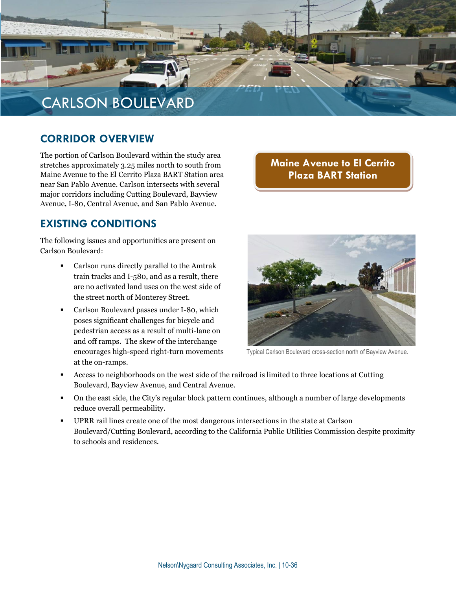

#### **CORRIDOR OVERVIEW**

The portion of Carlson Boulevard within the study area stretches approximately 3.25 miles north to south from Maine Avenue to the El Cerrito Plaza BART Station area near San Pablo Avenue. Carlson intersects with several major corridors including Cutting Boulevard, Bayview Avenue, I-80, Central Avenue, and San Pablo Avenue.

#### **Maine Avenue to El Cerrito Plaza BART Station**

#### **EXISTING CONDITIONS**

The following issues and opportunities are present on Carlson Boulevard:

- Carlson runs directly parallel to the Amtrak train tracks and I-580, and as a result, there are no activated land uses on the west side of the street north of Monterey Street.
- Carlson Boulevard passes under I-80, which poses significant challenges for bicycle and pedestrian access as a result of multi-lane on and off ramps. The skew of the interchange encourages high-speed right-turn movements at the on-ramps.



Typical Carlson Boulevard cross-section north of Bayview Avenue.

- Access to neighborhoods on the west side of the railroad is limited to three locations at Cutting Boulevard, Bayview Avenue, and Central Avenue.
- On the east side, the City's regular block pattern continues, although a number of large developments reduce overall permeability.
- UPRR rail lines create one of the most dangerous intersections in the state at Carlson Boulevard/Cutting Boulevard, according to the California Public Utilities Commission despite proximity to schools and residences.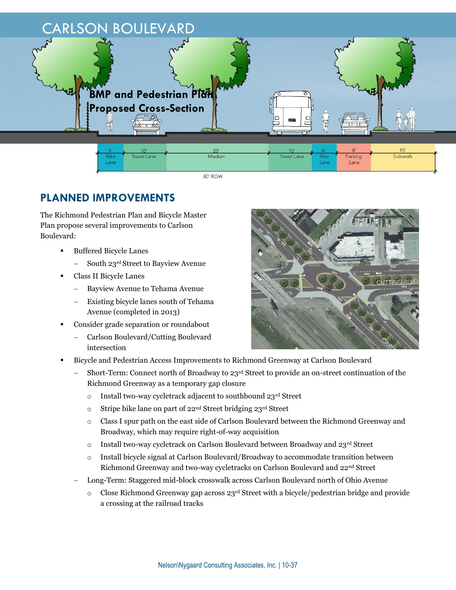

80' ROW

## **PLANNED IMPROVEMENTS**

The Richmond Pedestrian Plan and Bicycle Master Plan propose several improvements to Carlson Boulevard:

- Buffered Bicycle Lanes
	- South 23rd Street to Bayview Avenue
- Class II Bicycle Lanes
	- Bayview Avenue to Tehama Avenue
	- Existing bicycle lanes south of Tehama Avenue (completed in 2013)
- Consider grade separation or roundabout
	- Carlson Boulevard/Cutting Boulevard intersection



 Short-Term: Connect north of Broadway to 23rd Street to provide an on-street continuation of the Richmond Greenway as a temporary gap closure

**CUTTING B** 

- o Install two-way cycletrack adjacent to southbound 23rd Street
- o Stripe bike lane on part of 22nd Street bridging 23rd Street
- o Class I spur path on the east side of Carlson Boulevard between the Richmond Greenway and Broadway, which may require right-of-way acquisition
- $\circ$  Install two-way cycletrack on Carlson Boulevard between Broadway and 23rd Street
- o Install bicycle signal at Carlson Boulevard/Broadway to accommodate transition between Richmond Greenway and two-way cycletracks on Carlson Boulevard and 22nd Street
- Long-Term: Staggered mid-block crosswalk across Carlson Boulevard north of Ohio Avenue
	- Close Richmond Greenway gap across  $23<sup>rd</sup>$  Street with a bicycle/pedestrian bridge and provide a crossing at the railroad tracks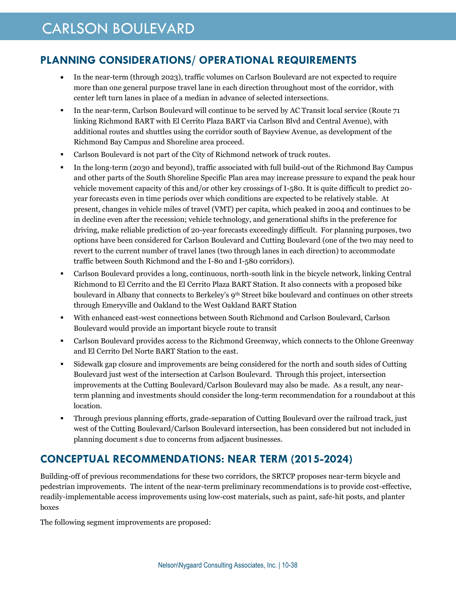### **PLANNING CONSIDERATIONS/ OPERATIONAL REQUIREMENTS**

- In the near-term (through 2023), traffic volumes on Carlson Boulevard are not expected to require more than one general purpose travel lane in each direction throughout most of the corridor, with center left turn lanes in place of a median in advance of selected intersections.
- In the near-term, Carlson Boulevard will continue to be served by AC Transit local service (Route 71 linking Richmond BART with El Cerrito Plaza BART via Carlson Blvd and Central Avenue), with additional routes and shuttles using the corridor south of Bayview Avenue, as development of the Richmond Bay Campus and Shoreline area proceed.
- Carlson Boulevard is not part of the City of Richmond network of truck routes.
- In the long-term (2030 and beyond), traffic associated with full build-out of the Richmond Bay Campus and other parts of the South Shoreline Specific Plan area may increase pressure to expand the peak hour vehicle movement capacity of this and/or other key crossings of I-580. It is quite difficult to predict 20 year forecasts even in time periods over which conditions are expected to be relatively stable. At present, changes in vehicle miles of travel (VMT) per capita, which peaked in 2004 and continues to be in decline even after the recession; vehicle technology, and generational shifts in the preference for driving, make reliable prediction of 20-year forecasts exceedingly difficult. For planning purposes, two options have been considered for Carlson Boulevard and Cutting Boulevard (one of the two may need to revert to the current number of travel lanes (two through lanes in each direction) to accommodate traffic between South Richmond and the I-80 and I-580 corridors).
- Carlson Boulevard provides a long, continuous, north-south link in the bicycle network, linking Central Richmond to El Cerrito and the El Cerrito Plaza BART Station. It also connects with a proposed bike boulevard in Albany that connects to Berkeley's 9th Street bike boulevard and continues on other streets through Emeryville and Oakland to the West Oakland BART Station
- With enhanced east-west connections between South Richmond and Carlson Boulevard, Carlson Boulevard would provide an important bicycle route to transit
- Carlson Boulevard provides access to the Richmond Greenway, which connects to the Ohlone Greenway and El Cerrito Del Norte BART Station to the east.
- Sidewalk gap closure and improvements are being considered for the north and south sides of Cutting Boulevard just west of the intersection at Carlson Boulevard. Through this project, intersection improvements at the Cutting Boulevard/Carlson Boulevard may also be made. As a result, any nearterm planning and investments should consider the long-term recommendation for a roundabout at this location.
- Through previous planning efforts, grade-separation of Cutting Boulevard over the railroad track, just west of the Cutting Boulevard/Carlson Boulevard intersection, has been considered but not included in planning document s due to concerns from adjacent businesses.

### **CONCEPTUAL RECOMMENDATIONS: NEAR TERM (2015-2024)**

Building-off of previous recommendations for these two corridors, the SRTCP proposes near-term bicycle and pedestrian improvements. The intent of the near-term preliminary recommendations is to provide cost-effective, readily-implementable access improvements using low-cost materials, such as paint, safe-hit posts, and planter boxes

The following segment improvements are proposed: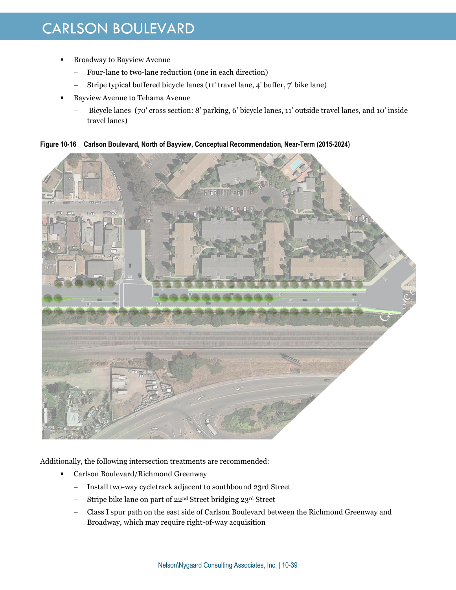- Broadway to Bayview Avenue
	- Four-lane to two-lane reduction (one in each direction)
	- Stripe typical buffered bicycle lanes (11' travel lane, 4' buffer, 7' bike lane)
- Bayview Avenue to Tehama Avenue
	- Bicycle lanes (70' cross section: 8' parking, 6' bicycle lanes, 11' outside travel lanes, and 10' inside travel lanes)

**Figure 10-16 Carlson Boulevard, North of Bayview, Conceptual Recommendation, Near-Term (2015-2024)**



Additionally, the following intersection treatments are recommended:

- **Carlson Boulevard/Richmond Greenway** 
	- Install two-way cycletrack adjacent to southbound 23rd Street
	- Stripe bike lane on part of 22nd Street bridging 23rd Street
	- Class I spur path on the east side of Carlson Boulevard between the Richmond Greenway and Broadway, which may require right-of-way acquisition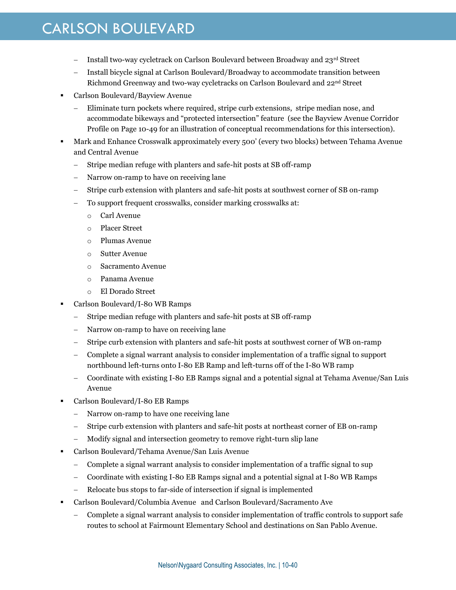- Install two-way cycletrack on Carlson Boulevard between Broadway and  $23<sup>rd</sup>$  Street
- Install bicycle signal at Carlson Boulevard/Broadway to accommodate transition between Richmond Greenway and two-way cycletracks on Carlson Boulevard and 22nd Street
- Carlson Boulevard/Bayview Avenue
	- Eliminate turn pockets where required, stripe curb extensions, stripe median nose, and accommodate bikeways and "protected intersection" feature (see the Bayview Avenue Corridor Profile on Page 10-49 for an illustration of conceptual recommendations for this intersection).
- Mark and Enhance Crosswalk approximately every 500' (every two blocks) between Tehama Avenue and Central Avenue
	- Stripe median refuge with planters and safe-hit posts at SB off-ramp
	- Narrow on-ramp to have on receiving lane
	- Stripe curb extension with planters and safe-hit posts at southwest corner of SB on-ramp
	- To support frequent crosswalks, consider marking crosswalks at:
		- o Carl Avenue
		- o Placer Street
		- o Plumas Avenue
		- o Sutter Avenue
		- o Sacramento Avenue
		- o Panama Avenue
		- o El Dorado Street
- Carlson Boulevard/I-80 WB Ramps
	- Stripe median refuge with planters and safe-hit posts at SB off-ramp
	- Narrow on-ramp to have on receiving lane
	- Stripe curb extension with planters and safe-hit posts at southwest corner of WB on-ramp
	- Complete a signal warrant analysis to consider implementation of a traffic signal to support northbound left-turns onto I-80 EB Ramp and left-turns off of the I-80 WB ramp
	- Coordinate with existing I-80 EB Ramps signal and a potential signal at Tehama Avenue/San Luis Avenue
- Carlson Boulevard/I-80 EB Ramps
	- Narrow on-ramp to have one receiving lane
	- Stripe curb extension with planters and safe-hit posts at northeast corner of EB on-ramp
	- Modify signal and intersection geometry to remove right-turn slip lane
- Carlson Boulevard/Tehama Avenue/San Luis Avenue
	- Complete a signal warrant analysis to consider implementation of a traffic signal to sup
	- Coordinate with existing I-80 EB Ramps signal and a potential signal at I-80 WB Ramps
	- Relocate bus stops to far-side of intersection if signal is implemented
- Carlson Boulevard/Columbia Avenue and Carlson Boulevard/Sacramento Ave
	- Complete a signal warrant analysis to consider implementation of traffic controls to support safe routes to school at Fairmount Elementary School and destinations on San Pablo Avenue.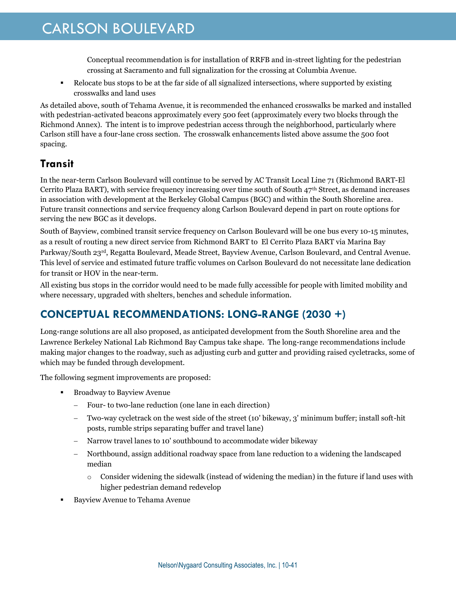Conceptual recommendation is for installation of RRFB and in-street lighting for the pedestrian crossing at Sacramento and full signalization for the crossing at Columbia Avenue.

 Relocate bus stops to be at the far side of all signalized intersections, where supported by existing crosswalks and land uses

As detailed above, south of Tehama Avenue, it is recommended the enhanced crosswalks be marked and installed with pedestrian-activated beacons approximately every 500 feet (approximately every two blocks through the Richmond Annex). The intent is to improve pedestrian access through the neighborhood, particularly where Carlson still have a four-lane cross section. The crosswalk enhancements listed above assume the 500 foot spacing.

### **Transit**

In the near-term Carlson Boulevard will continue to be served by AC Transit Local Line 71 (Richmond BART-El Cerrito Plaza BART), with service frequency increasing over time south of South 47th Street, as demand increases in association with development at the Berkeley Global Campus (BGC) and within the South Shoreline area. Future transit connections and service frequency along Carlson Boulevard depend in part on route options for serving the new BGC as it develops.

South of Bayview, combined transit service frequency on Carlson Boulevard will be one bus every 10-15 minutes, as a result of routing a new direct service from Richmond BART to El Cerrito Plaza BART via Marina Bay Parkway/South 23rd, Regatta Boulevard, Meade Street, Bayview Avenue, Carlson Boulevard, and Central Avenue. This level of service and estimated future traffic volumes on Carlson Boulevard do not necessitate lane dedication for transit or HOV in the near-term.

All existing bus stops in the corridor would need to be made fully accessible for people with limited mobility and where necessary, upgraded with shelters, benches and schedule information.

### **CONCEPTUAL RECOMMENDATIONS: LONG-RANGE (2030 +)**

Long-range solutions are all also proposed, as anticipated development from the South Shoreline area and the Lawrence Berkeley National Lab Richmond Bay Campus take shape. The long-range recommendations include making major changes to the roadway, such as adjusting curb and gutter and providing raised cycletracks, some of which may be funded through development.

The following segment improvements are proposed:

- **Broadway to Bayview Avenue** 
	- Four- to two-lane reduction (one lane in each direction)
	- Two-way cycletrack on the west side of the street (10' bikeway, 3' minimum buffer; install soft-hit posts, rumble strips separating buffer and travel lane)
	- Narrow travel lanes to 10' southbound to accommodate wider bikeway
	- Northbound, assign additional roadway space from lane reduction to a widening the landscaped median
		- $\circ$  Consider widening the sidewalk (instead of widening the median) in the future if land uses with higher pedestrian demand redevelop
- Bayview Avenue to Tehama Avenue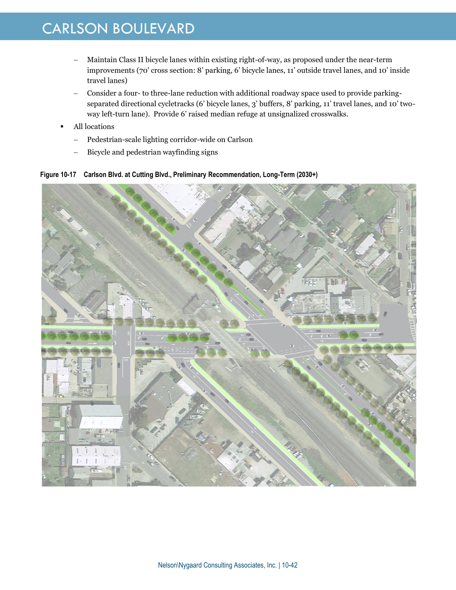- Maintain Class II bicycle lanes within existing right-of-way, as proposed under the near-term improvements (70' cross section: 8' parking, 6' bicycle lanes, 11' outside travel lanes, and 10' inside travel lanes)
- Consider a four- to three-lane reduction with additional roadway space used to provide parkingseparated directional cycletracks (6' bicycle lanes, 3' buffers, 8' parking, 11' travel lanes, and 10' twoway left-turn lane). Provide 6' raised median refuge at unsignalized crosswalks.
- All locations
	- Pedestrian-scale lighting corridor-wide on Carlson
	- Bicycle and pedestrian wayfinding signs

**Figure 10-17 Carlson Blvd. at Cutting Blvd., Preliminary Recommendation, Long-Term (2030+)**

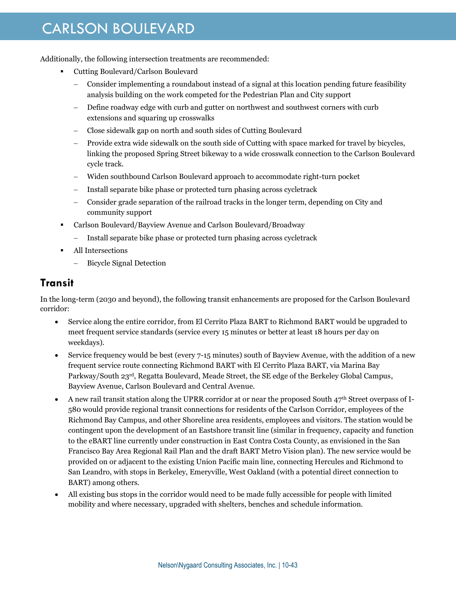Additionally, the following intersection treatments are recommended:

- Cutting Boulevard/Carlson Boulevard
	- Consider implementing a roundabout instead of a signal at this location pending future feasibility analysis building on the work competed for the Pedestrian Plan and City support
	- Define roadway edge with curb and gutter on northwest and southwest corners with curb extensions and squaring up crosswalks
	- Close sidewalk gap on north and south sides of Cutting Boulevard
	- Provide extra wide sidewalk on the south side of Cutting with space marked for travel by bicycles, linking the proposed Spring Street bikeway to a wide crosswalk connection to the Carlson Boulevard cycle track.
	- Widen southbound Carlson Boulevard approach to accommodate right-turn pocket
	- Install separate bike phase or protected turn phasing across cycletrack
	- Consider grade separation of the railroad tracks in the longer term, depending on City and community support
- Carlson Boulevard/Bayview Avenue and Carlson Boulevard/Broadway
	- Install separate bike phase or protected turn phasing across cycletrack
- All Intersections
	- Bicycle Signal Detection

#### **Transit**

In the long-term (2030 and beyond), the following transit enhancements are proposed for the Carlson Boulevard corridor:

- Service along the entire corridor, from El Cerrito Plaza BART to Richmond BART would be upgraded to meet frequent service standards (service every 15 minutes or better at least 18 hours per day on weekdays).
- Service frequency would be best (every 7-15 minutes) south of Bayview Avenue, with the addition of a new frequent service route connecting Richmond BART with El Cerrito Plaza BART, via Marina Bay Parkway/South 23rd, Regatta Boulevard, Meade Street, the SE edge of the Berkeley Global Campus, Bayview Avenue, Carlson Boulevard and Central Avenue.
- A new rail transit station along the UPRR corridor at or near the proposed South 47th Street overpass of I-580 would provide regional transit connections for residents of the Carlson Corridor, employees of the Richmond Bay Campus, and other Shoreline area residents, employees and visitors. The station would be contingent upon the development of an Eastshore transit line (similar in frequency, capacity and function to the eBART line currently under construction in East Contra Costa County, as envisioned in the San Francisco Bay Area Regional Rail Plan and the draft BART Metro Vision plan). The new service would be provided on or adjacent to the existing Union Pacific main line, connecting Hercules and Richmond to San Leandro, with stops in Berkeley, Emeryville, West Oakland (with a potential direct connection to BART) among others.
- All existing bus stops in the corridor would need to be made fully accessible for people with limited mobility and where necessary, upgraded with shelters, benches and schedule information.